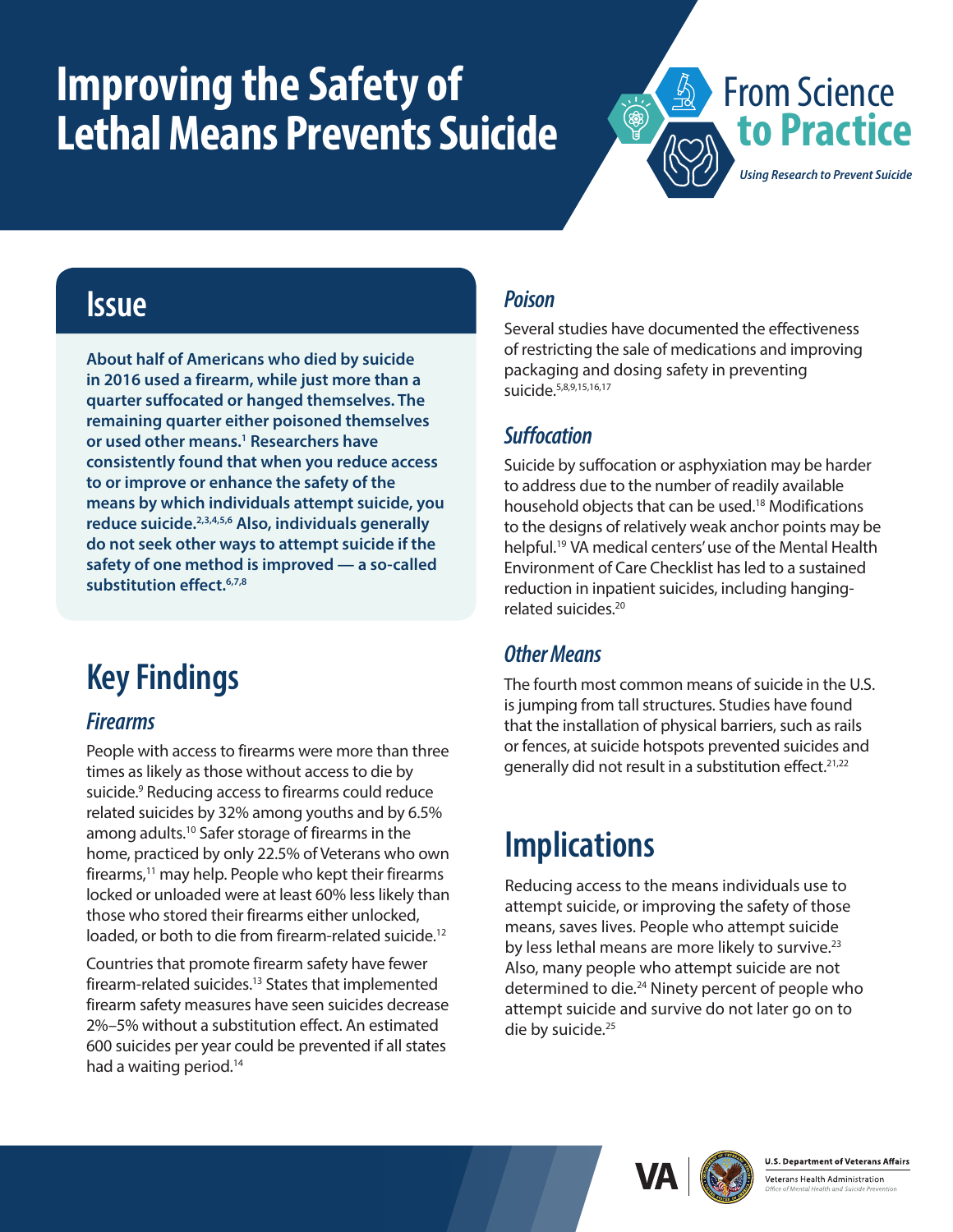# <span id="page-0-0"></span>**Improving the Safety of Lethal Means Prevents Suicide**



### **Issue**

**About half of Americans who died by suicide in 2016 used a firearm, while just more than a quarter suffocated or hanged themselves. The remaining quarter either poisoned themselves or used other means[.1](#page-1-0) Researchers have consistently found that when you reduce access to or improve or enhance the safety of the means by which individuals attempt suicide, you reduce suicide[.2,3,4,5,6](#page-1-0) Also, individuals generally do not seek other ways to attempt suicide if the safety of one method is improved — a so-called substitution effect[.6](#page-1-1)[,7,8](#page-1-0)**

## **Key Findings**

#### *Firearms*

People with access to firearms were more than three times as likely as those without access to die by suicide.<sup>9</sup> Reducing access to firearms could reduce related suicides by 32% among youths and by 6.5% among adults[.10](#page-1-0) Safer storage of firearms in the home, practiced by only 22.5% of Veterans who own firearms, $11$  may help. People who kept their firearms locked or unloaded were at least 60% less likely than those who stored their firearms either unlocked, loaded, or both to die from firearm-related suicide.<sup>12</sup>

Countries that promote firearm safety have fewer firearm-related suicides.<sup>13</sup> States that implemented firearm safety measures have seen suicides decrease 2%–5% without a substitution effect. An estimated 600 suicides per year could be prevented if all states had a waiting period.<sup>[14](#page-1-0)</sup>

#### *Poison*

Several studies have documented the effectiveness of restricting the sale of medications and improving packaging and dosing safety in preventing suicide[.5](#page-1-2)[,](#page-1-0)[8](#page-1-3)[,](#page-1-0)[9](#page-1-4)[,15,16,17](#page-1-0)

#### *Suffocation*

Suicide by suffocation or asphyxiation may be harder to address due to the number of readily available household objects that can be used.<sup>18</sup> Modifications to the designs of relatively weak anchor points may be helpful.[19](#page-1-0) VA medical centers' use of the Mental Health Environment of Care Checklist has led to a sustained reduction in inpatient suicides, including hangingrelated suicides[.20](#page-1-0)

#### *Other Means*

The fourth most common means of suicide in the U.S. is jumping from tall structures. Studies have found that the installation of physical barriers, such as rails or fences, at suicide hotspots prevented suicides and generally did not result in a substitution effect.<sup>21,22</sup>

## **Implications**

Reducing access to the means individuals use to attempt suicide, or improving the safety of those means, saves lives. People who attempt suicide by less lethal means are more likely to survive.<sup>23</sup> Also, many people who attempt suicide are not determined to die.<sup>24</sup> Ninety percent of people who attempt suicide and survive do not later go on to die by suicide.<sup>25</sup>





Veterans Health Administration